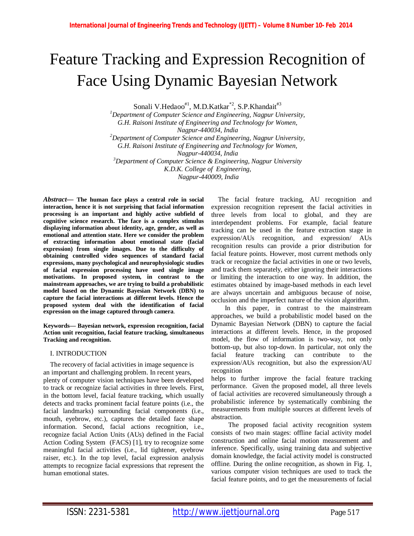# Feature Tracking and Expression Recognition of Face Using Dynamic Bayesian Network

Sonali V.Hedaoo<sup>#1</sup>, M.D.Katkar<sup>\*2</sup>, S.P.Khandait<sup>#3</sup>

*<sup>1</sup>Department of Computer Science and Engineering, Nagpur University, G.H. Raisoni Institute of Engineering and Technology for Women, Nagpur-440034, India <sup>2</sup>Department of Computer Science and Engineering, Nagpur University, G.H. Raisoni Institute of Engineering and Technology for Women, Nagpur-440034, India <sup>3</sup>Department of Computer Science & Engineering, Nagpur University K.D.K. College of Engineering, Nagpur-440009, India*

*Abstract***— The human face plays a central role in social interaction, hence it is not surprising that facial information processing is an important and highly active subfield of cognitive science research. The face is a complex stimulus displaying information about identity, age, gender, as well as emotional and attention state. Here we consider the problem of extracting information about emotional state (facial expression) from single images. Due to the difficulty of obtaining controlled video sequences of standard facial expressions, many psychological and neurophysiologic studies of facial expression processing have used single image motivations. In proposed system, in contrast to the mainstream approaches, we are trying to build a probabilistic model based on the Dynamic Bayesian Network (DBN) to capture the facial interactions at different levels. Hence the proposed system deal with the identification of facial expression on the image captured through camera**.

**Keywords— Bayesian network, expression recognition, facial Action unit recognition, facial feature tracking, simultaneous Tracking and recognition.**

#### I. INTRODUCTION

The recovery of facial activities in image sequence is an important and challenging problem. In recent years, plenty of computer vision techniques have been developed to track or recognize facial activities in three levels. First, in the bottom level, facial feature tracking, which usually detects and tracks prominent facial feature points (i.e., the facial landmarks) surrounding facial components (i.e., mouth, eyebrow, etc.), captures the detailed face shape information. Second, facial actions recognition, i.e., recognize facial Action Units (AUs) defined in the Facial Action Coding System (FACS) [1], try to recognize some meaningful facial activities (i.e., lid tightener, eyebrow raiser, etc.). In the top level, facial expression analysis attempts to recognize facial expressions that represent the human emotional states.

 The facial feature tracking, AU recognition and expression recognition represent the facial activities in three levels from local to global, and they are interdependent problems. For example, facial feature tracking can be used in the feature extraction stage in expression/AUs recognition, and expression/ AUs recognition results can provide a prior distribution for facial feature points. However, most current methods only track or recognize the facial activities in one or two levels, and track them separately, either ignoring their interactions or limiting the interaction to one way. In addition, the estimates obtained by image-based methods in each level are always uncertain and ambiguous because of noise, occlusion and the imperfect nature of the vision algorithm.

 In this paper, in contrast to the mainstream approaches, we build a probabilistic model based on the Dynamic Bayesian Network (DBN) to capture the facial interactions at different levels. Hence, in the proposed model, the flow of information is two-way, not only bottom-up, but also top-down. In particular, not only the facial feature tracking can contribute to the expression/AUs recognition, but also the expression/AU recognition

helps to further improve the facial feature tracking performance. Given the proposed model, all three levels of facial activities are recovered simultaneously through a probabilistic inference by systematically combining the measurements from multiple sources at different levels of abstraction.

 The proposed facial activity recognition system consists of two main stages: offline facial activity model construction and online facial motion measurement and inference. Specifically, using training data and subjective domain knowledge, the facial activity model is constructed offline. During the online recognition, as shown in Fig. 1, various computer vision techniques are used to track the facial feature points, and to get the measurements of facial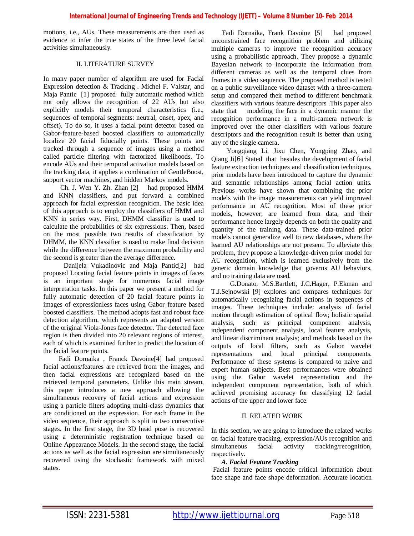motions, i.e., AUs. These measurements are then used as evidence to infer the true states of the three level facial activities simultaneously.

#### II. LITERATURE SURVEY

In many paper number of algorithm are used for Facial Expression detection & Tracking . Michel F. Valstar, and Maja Pantic [1] proposed fully automatic method which not only allows the recognition of 22 AUs but also explicitly models their temporal characteristics (i.e., sequences of temporal segments: neutral, onset, apex, and offset). To do so, it uses a facial point detector based on Gabor-feature-based boosted classifiers to automatically localize 20 facial fiducially points. These points are tracked through a sequence of images using a method called particle filtering with factorized likelihoods. To encode AUs and their temporal activation models based on the tracking data, it applies a combination of GentleBoost, support vector machines, and hidden Markov models.

 Ch. J. Wen Y. Zh. Zhan [2] had proposed HMM and KNN classifiers, and put forward a combined approach for facial expression recognition. The basic idea of this approach is to employ the classifiers of HMM and KNN in series way. First, DHMM classifier is used to calculate the probabilities of six expressions. Then, based on the most possible two results of classification by DHMM, the KNN classifier is used to make final decision while the difference between the maximum probability and the second is greater than the average difference.

 Danijela Vukadinovic and Maja Pantic[2] had proposed Locating facial feature points in images of faces is an important stage for numerous facial image interpretation tasks. In this paper we present a method for fully automatic detection of 20 facial feature points in images of expressionless faces using Gabor feature based boosted classifiers. The method adopts fast and robust face detection algorithm, which represents an adapted version of the original Viola-Jones face detector. The detected face region is then divided into 20 relevant regions of interest, each of which is examined further to predict the location of the facial feature points.

 Fadi Dornaika , Franck Davoine[4] had proposed facial actions/features are retrieved from the images, and then facial expressions are recognized based on the retrieved temporal parameters. Unlike this main stream, this paper introduces a new approach allowing the simultaneous recovery of facial actions and expression using a particle filters adopting multi-class dynamics that are conditioned on the expression. For each frame in the video sequence, their approach is split in two consecutive stages. In the first stage, the 3D head pose is recovered using a deterministic registration technique based on Online Appearance Models. In the second stage, the facial actions as well as the facial expression are simultaneously recovered using the stochastic framework with mixed states.

 Fadi Dornaika, Frank Davoine [5] had proposed unconstrained face recognition problem and utilizing multiple cameras to improve the recognition accuracy using a probabilistic approach. They propose a dynamic Bayesian network to incorporate the information from different cameras as well as the temporal clues from frames in a video sequence. The proposed method is tested on a public surveillance video dataset with a three-camera setup and compared their method to different benchmark classifiers with various feature descriptors .This paper also state that modeling the face in a dynamic manner the recognition performance in a multi-camera network is improved over the other classifiers with various feature descriptors and the recognition result is better than using any of the single camera.

 Yongqiang Li, Jixu Chen, Yongping Zhao, and Qiang Ji[6] Stated that besides the development of facial feature extraction techniques and classification techniques, prior models have been introduced to capture the dynamic and semantic relationships among facial action units. Previous works have shown that combining the prior models with the image measurements can yield improved performance in AU recognition. Most of these prior models, however, are learned from data, and their performance hence largely depends on both the quality and quantity of the training data. These data-trained prior models cannot generalize well to new databases, where the learned AU relationships are not present. To alleviate this problem, they propose a knowledge-driven prior model for AU recognition, which is learned exclusively from the generic domain knowledge that governs AU behaviors, and no training data are used.

 G.Donato, M.S.Bartlett, J.C.Hager, P.Ekman and T.J.Sejnowski [9] explores and compares techniques for automatically recognizing facial actions in sequences of images. These techniques include: analysis of facial motion through estimation of optical flow; holistic spatial analysis, such as principal component analysis, independent component analysis, local feature analysis, and linear discriminant analysis; and methods based on the outputs of local filters, such as Gabor wavelet representations and local principal components. Performance of these systems is compared to naive and expert human subjects. Best performances were obtained using the Gabor wavelet representation and the independent component representation, both of which achieved promising accuracy for classifying 12 facial actions of the upper and lower face.

## II. RELATED WORK

In this section, we are going to introduce the related works on facial feature tracking, expression/AUs recognition and simultaneous facial activity tracking/recognition, respectively.

## *A. Facial Feature Tracking*

Facial feature points encode critical information about face shape and face shape deformation. Accurate location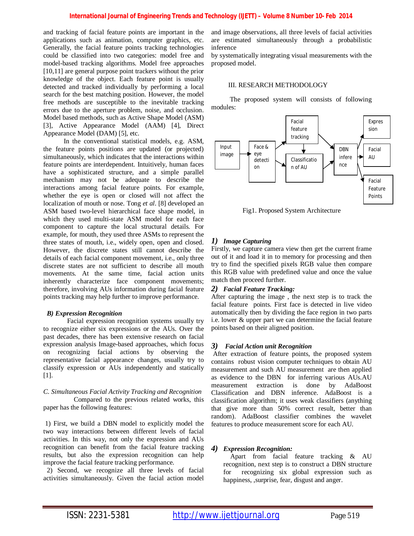#### *International Journal of Engineering Trends and Technology (IJETT) – Volume 8 Number 10- Feb 2014*

and tracking of facial feature points are important in the applications such as animation, computer graphics, etc. Generally, the facial feature points tracking technologies could be classified into two categories: model free and model-based tracking algorithms. Model free approaches [10,11] are general purpose point trackers without the prior knowledge of the object. Each feature point is usually detected and tracked individually by performing a local search for the best matching position. However, the model free methods are susceptible to the inevitable tracking errors due to the aperture problem, noise, and occlusion. Model based methods, such as Active Shape Model (ASM) [3], Active Appearance Model (AAM) [4], Direct Appearance Model (DAM) [5], etc.

 In the conventional statistical models, e.g. ASM, the feature points positions are updated (or projected) simultaneously, which indicates that the interactions within feature points are interdependent. Intuitively, human faces have a sophisticated structure, and a simple parallel mechanism may not be adequate to describe the interactions among facial feature points. For example, whether the eye is open or closed will not affect the localization of mouth or nose. Tong *et al*. [8] developed an ASM based two-level hierarchical face shape model, in which they used multi-state ASM model for each face component to capture the local structural details. For example, for mouth, they used three ASMs to represent the three states of mouth, i.e., widely open, open and closed. However, the discrete states still cannot describe the details of each facial component movement, i.e., only three discrete states are not sufficient to describe all mouth movements. At the same time, facial action units inherently characterize face component movements; therefore, involving AUs information during facial feature points tracking may help further to improve performance.

## *B) Expression Recognition*

 Facial expression recognition systems usually try to recognize either six expressions or the AUs. Over the past decades, there has been extensive research on facial expression analysis Image-based approaches, which focus on recognizing facial actions by observing the representative facial appearance changes, usually try to classify expression or AUs independently and statically [1].

#### *C. Simultaneous Facial Activity Tracking and Recognition* Compared to the previous related works, this paper has the following features:

1) First, we build a DBN model to explicitly model the two way interactions between different levels of facial activities. In this way, not only the expression and AUs recognition can benefit from the facial feature tracking results, but also the expression recognition can help improve the facial feature tracking performance.

 2) Second, we recognize all three levels of facial activities simultaneously. Given the facial action model and image observations, all three levels of facial activities are estimated simultaneously through a probabilistic inference

by systematically integrating visual measurements with the proposed model.

#### III. RESEARCH METHODOLOGY

 The proposed system will consists of following modules:



Fig1. Proposed System Architecture

# *1) Image Capturing*

Firstly, we capture camera view then get the current frame out of it and load it in to memory for processing and then try to find the specified pixels RGB value then compare this RGB value with predefined value and once the value match then proceed further.

## *2) Facial Feature Tracking:*

After capturing the image , the next step is to track the facial feature points. First face is detected in live video automatically then by dividing the face region in two parts i.e. lower & upper part we can determine the facial feature points based on their aligned position.

## *3) Facial Action unit Recognition*

After extraction of feature points, the proposed system contains robust vision computer techniques to obtain AU measurement and such AU measurement are then applied as evidence to the DBN for inferring various AUs.AU measurement extraction is done by AdaBoost Classification and DBN inference. AdaBoost is a classification algorithm; it uses weak classifiers (anything that give more than 50% correct result, better than random). AdaBoost classifier combines the wavelet features to produce measurement score for each AU.

## *4) Expression Recognition:*

Apart from facial feature tracking & AU recognition, next step is to construct a DBN structure for recognizing six global expression such as happiness, ,surprise, fear, disgust and anger.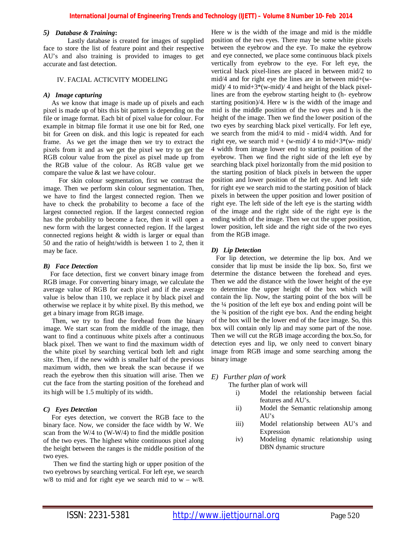#### *5) Database & Training***:**

Lastly database is created for images of supplied face to store the list of feature point and their respective AU's and also training is provided to images to get accurate and fast detection.

#### IV. FACIAL ACTICVITY MODELING

#### *A) Image capturing*

 As we know that image is made up of pixels and each pixel is made up of bits this bit pattern is depending on the file or image format. Each bit of pixel value for colour. For example in bitmap file format it use one bit for Red, one bit for Green on disk. and this logic is repeated for each frame. As we get the image then we try to extract the pixels from it and as we get the pixel we try to get the RGB colour value from the pixel as pixel made up from the RGB value of the colour. As RGB value get we compare the value & last we have colour.

 For skin colour segmentation, first we contrast the image. Then we perform skin colour segmentation. Then, we have to find the largest connected region. Then we have to check the probability to become a face of the largest connected region. If the largest connected region has the probability to become a face, then it will open a new form with the largest connected region. If the largest connected regions height & width is larger or equal than 50 and the ratio of height/width is between 1 to 2, then it may be face.

#### *B) Face Detection*

For face detection, first we convert binary image from RGB image. For converting binary image, we calculate the average value of RGB for each pixel and if the average value is below than 110, we replace it by black pixel and otherwise we replace it by white pixel. By this method, we get a binary image from RGB image.

 Then, we try to find the forehead from the binary image. We start scan from the middle of the image, then want to find a continuous white pixels after a continuous black pixel. Then we want to find the maximum width of the white pixel by searching vertical both left and right site. Then, if the new width is smaller half of the previous maximum width, then we break the scan because if we reach the eyebrow then this situation will arise. Then we cut the face from the starting position of the forehead and its high will be 1.5 multiply of its width.

## *C) Eyes Detection*

 For eyes detection, we convert the RGB face to the binary face. Now, we consider the face width by W. We scan from the W/4 to (W-W/4) to find the middle position of the two eyes. The highest white continuous pixel along the height between the ranges is the middle position of the two eyes.

 Then we find the starting high or upper position of the two eyebrows by searching vertical. For left eye, we search  $w/8$  to mid and for right eye we search mid to  $w - w/8$ . Here w is the width of the image and mid is the middle position of the two eyes. There may be some white pixels between the eyebrow and the eye. To make the eyebrow and eye connected, we place some continuous black pixels vertically from eyebrow to the eye. For left eye, the vertical black pixel-lines are placed in between mid/2 to mid/4 and for right eye the lines are in between mid+(wmid)/ 4 to mid+3\*(w-mid)/ 4 and height of the black pixellines are from the eyebrow starting height to (h- eyebrow starting position)/4. Here w is the width of the image and mid is the middle position of the two eyes and h is the height of the image. Then we find the lower position of the two eyes by searching black pixel vertically. For left eye, we search from the mid/4 to mid - mid/4 width. And for right eye, we search mid + (w-mid)/ 4 to mid+3 $*(w$ - mid)/ 4 width from image lower end to starting position of the eyebrow. Then we find the right side of the left eye by searching black pixel horizontally from the mid position to the starting position of black pixels in between the upper position and lower position of the left eye. And left side for right eye we search mid to the starting position of black pixels in between the upper position and lower position of right eye. The left side of the left eye is the starting width of the image and the right side of the right eye is the ending width of the image. Then we cut the upper position, lower position, left side and the right side of the two eyes from the RGB image.

## *D) Lip Detection*

For lip detection, we determine the lip box. And we consider that lip must be inside the lip box. So, first we determine the distance between the forehead and eyes. Then we add the distance with the lower height of the eye to determine the upper height of the box which will contain the lip. Now, the starting point of the box will be the ¼ position of the left eye box and ending point will be the ¾ position of the right eye box. And the ending height of the box will be the lower end of the face image. So, this box will contain only lip and may some part of the nose. Then we will cut the RGB image according the box.So, for detection eyes and lip, we only need to convert binary image from RGB image and some searching among the binary image

#### *E) Further plan of work*

The further plan of work will

- i) Model the relationship between facial features and AU's.
- ii) Model the Semantic relationship among AU's
- iii) Model relationship between AU's and Expression
- iv) Modeling dynamic relationship using DBN dynamic structure